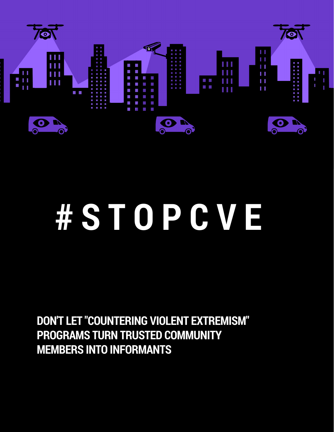

# **# S T O P C V E**

**DON'T LET "COUNTERING VIOLENT EXTREMISM" PROGRAMS TURN TRUSTED COMMUNITY MEMBERS INTO INFORMANTS**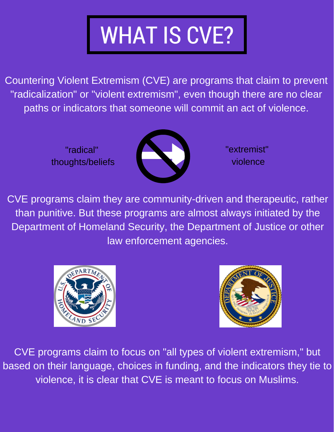# WHAT IS CVE?

Countering Violent Extremism (CVE) are programs that claim to prevent "radicalization" or "violent extremism", even though there are no clear paths or indicators that someone will commit an act of violence.

> "radical" thoughts/beliefs



"extremist" violence

CVE programs claim they are community-driven and therapeutic, rather than punitive. But these programs are almost always initiated by the Department of Homeland Security, the Department of Justice or other law enforcement agencies.





CVE programs claim to focus on "all types of violent extremism," but based on their language, choices in funding, and the indicators they tie to violence, it is clear that CVE is meant to focus on Muslims.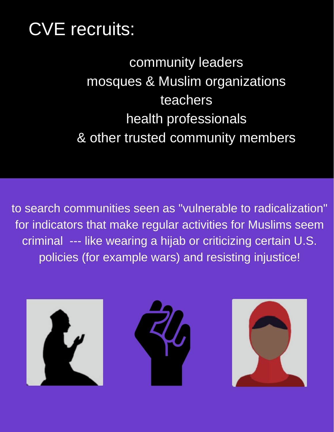## CVE recruits:

community leaders mosques & Muslim organizations teachers health professionals & other trusted community members

to search communities seen as "vulnerable to radicalization" for indicators that make regular activities for Muslims seem criminal --- like wearing a hijab or criticizing certain U.S. policies (for example wars) and resisting injustice!

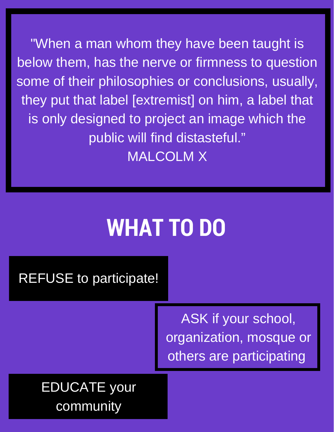"When a man whom they have been taught is below them, has the nerve or firmness to question some of their philosophies or conclusions, usually, they put that label [extremist] on him, a label that is only designed to project an image which the public will find distasteful." MALCOLM X

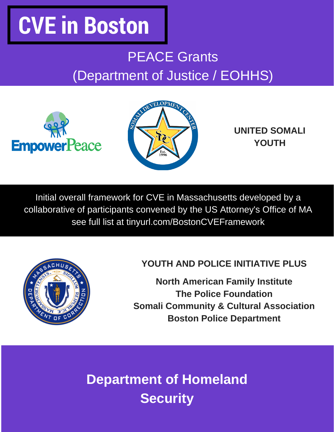## **CVE in Boston**

### PEACE Grants (Department of Justice / EOHHS)

![](_page_4_Picture_2.jpeg)

![](_page_4_Picture_3.jpeg)

**UNITED SOMALI YOUTH**

Initial overall framework for CVE in Massachusetts developed by a collaborative of participants convened by the US Attorney's Office of MA see full list at tinyurl.com/BostonCVEFramework

![](_page_4_Picture_6.jpeg)

#### **YOUTH AND POLICE INITIATIVE PLUS**

**North American Family Institute The Police Foundation Somali Community & Cultural Association Boston Police Department**

**Department of Homeland Security**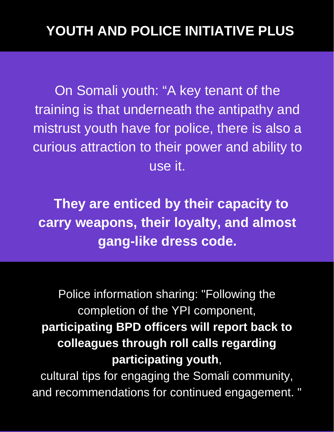On Somali youth: "A key tenant of the training is that underneath the antipathy and mistrust youth have for police, there is also a curious attraction to their power and ability to use it.

**They are enticed by their capacity to carry weapons, their loyalty, and almost gang-like dress code.**

Police information sharing: "Following the completion of the YPI component, **participating BPD officers will report back to colleagues through roll calls regarding participating youth**,

cultural tips for engaging the Somali community, and recommendations for continued engagement. "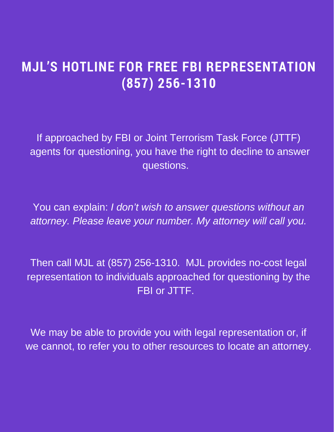### **MJL'S HOTLINE FOR FREE FBI REPRESENTATION (857) 256-1310**

If approached by FBI or Joint Terrorism Task Force (JTTF) agents for questioning, you have the right to decline to answer questions.

You can explain: *I don't wish to answer questions without an attorney. Please leave your number. My attorney will call you.*

Then call MJL at (857) 256-1310. MJL provides no-cost legal representation to individuals approached for questioning by the FBI or JTTF.

We may be able to provide you with legal representation or, if we cannot, to refer you to other resources to locate an attorney.